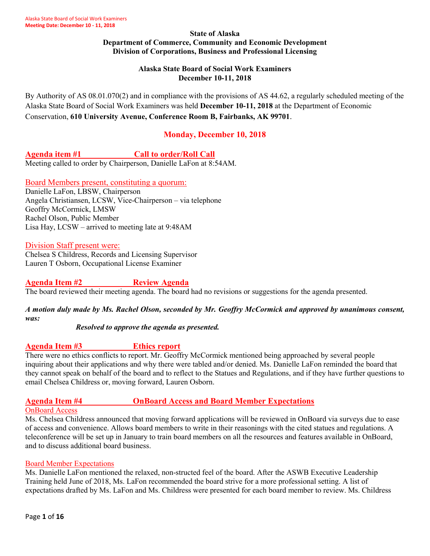#### **State of Alaska Department of Commerce, Community and Economic Development Division of Corporations, Business and Professional Licensing**

#### **Alaska State Board of Social Work Examiners December 10-11, 2018**

By Authority of AS 08.01.070(2) and in compliance with the provisions of AS 44.62, a regularly scheduled meeting of the Alaska State Board of Social Work Examiners was held **December 10-11, 2018** at the Department of Economic Conservation, **610 University Avenue, Conference Room B, Fairbanks, AK 99701**.

# **Monday, December 10, 2018**

**Agenda item #1 Call to order/Roll Call** Meeting called to order by Chairperson, Danielle LaFon at 8:54AM.

Board Members present, constituting a quorum:

Danielle LaFon, LBSW, Chairperson Angela Christiansen, LCSW, Vice-Chairperson – via telephone Geoffry McCormick, LMSW Rachel Olson, Public Member Lisa Hay, LCSW – arrived to meeting late at 9:48AM

## Division Staff present were:

Chelsea S Childress, Records and Licensing Supervisor Lauren T Osborn, Occupational License Examiner

**Agenda Item #2 Review Agenda** The board reviewed their meeting agenda. The board had no revisions or suggestions for the agenda presented.

*A motion duly made by Ms. Rachel Olson, seconded by Mr. Geoffry McCormick and approved by unanimous consent, was:*

#### *Resolved to approve the agenda as presented.*

**Agenda Item #3 Ethics report**

There were no ethics conflicts to report. Mr. Geoffry McCormick mentioned being approached by several people inquiring about their applications and why there were tabled and/or denied. Ms. Danielle LaFon reminded the board that they cannot speak on behalf of the board and to reflect to the Statues and Regulations, and if they have further questions to email Chelsea Childress or, moving forward, Lauren Osborn.

## **Agenda Item #4 OnBoard Access and Board Member Expectations**

#### OnBoard Access

Ms. Chelsea Childress announced that moving forward applications will be reviewed in OnBoard via surveys due to ease of access and convenience. Allows board members to write in their reasonings with the cited statues and regulations. A teleconference will be set up in January to train board members on all the resources and features available in OnBoard, and to discuss additional board business.

#### Board Member Expectations

Ms. Danielle LaFon mentioned the relaxed, non-structed feel of the board. After the ASWB Executive Leadership Training held June of 2018, Ms. LaFon recommended the board strive for a more professional setting. A list of expectations drafted by Ms. LaFon and Ms. Childress were presented for each board member to review. Ms. Childress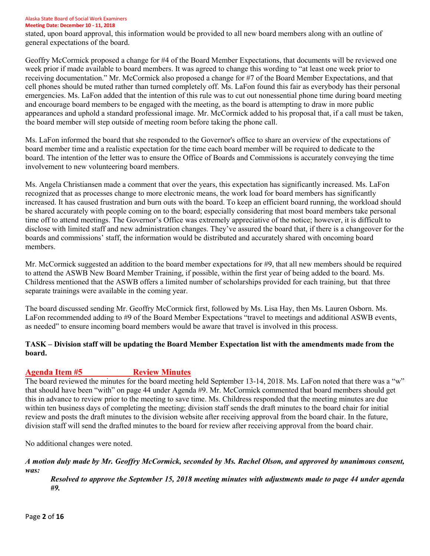#### Alaska State Board of Social Work Examiners

**Meeting Date: December 10 - 11, 2018**

stated, upon board approval, this information would be provided to all new board members along with an outline of general expectations of the board.

Geoffry McCormick proposed a change for #4 of the Board Member Expectations, that documents will be reviewed one week prior if made available to board members. It was agreed to change this wording to "at least one week prior to receiving documentation." Mr. McCormick also proposed a change for #7 of the Board Member Expectations, and that cell phones should be muted rather than turned completely off. Ms. LaFon found this fair as everybody has their personal emergencies. Ms. LaFon added that the intention of this rule was to cut out nonessential phone time during board meeting and encourage board members to be engaged with the meeting, as the board is attempting to draw in more public appearances and uphold a standard professional image. Mr. McCormick added to his proposal that, if a call must be taken, the board member will step outside of meeting room before taking the phone call.

Ms. LaFon informed the board that she responded to the Governor's office to share an overview of the expectations of board member time and a realistic expectation for the time each board member will be required to dedicate to the board. The intention of the letter was to ensure the Office of Boards and Commissions is accurately conveying the time involvement to new volunteering board members.

Ms. Angela Christiansen made a comment that over the years, this expectation has significantly increased. Ms. LaFon recognized that as processes change to more electronic means, the work load for board members has significantly increased. It has caused frustration and burn outs with the board. To keep an efficient board running, the workload should be shared accurately with people coming on to the board; especially considering that most board members take personal time off to attend meetings. The Governor's Office was extremely appreciative of the notice; however, it is difficult to disclose with limited staff and new administration changes. They've assured the board that, if there is a changeover for the boards and commissions' staff, the information would be distributed and accurately shared with oncoming board members.

Mr. McCormick suggested an addition to the board member expectations for #9, that all new members should be required to attend the ASWB New Board Member Training, if possible, within the first year of being added to the board. Ms. Childress mentioned that the ASWB offers a limited number of scholarships provided for each training, but that three separate trainings were available in the coming year.

The board discussed sending Mr. Geoffry McCormick first, followed by Ms. Lisa Hay, then Ms. Lauren Osborn. Ms. LaFon recommended adding to #9 of the Board Member Expectations "travel to meetings and additional ASWB events, as needed" to ensure incoming board members would be aware that travel is involved in this process.

## **TASK – Division staff will be updating the Board Member Expectation list with the amendments made from the board.**

## Agenda Item #5 Review Minutes

The board reviewed the minutes for the board meeting held September 13-14, 2018. Ms. LaFon noted that there was a "w" that should have been "with" on page 44 under Agenda #9. Mr. McCormick commented that board members should get this in advance to review prior to the meeting to save time. Ms. Childress responded that the meeting minutes are due within ten business days of completing the meeting; division staff sends the draft minutes to the board chair for initial review and posts the draft minutes to the division website after receiving approval from the board chair. In the future, division staff will send the drafted minutes to the board for review after receiving approval from the board chair.

No additional changes were noted.

#### *A motion duly made by Mr. Geoffry McCormick, seconded by Ms. Rachel Olson, and approved by unanimous consent, was:*

*Resolved to approve the September 15, 2018 meeting minutes with adjustments made to page 44 under agenda #9.*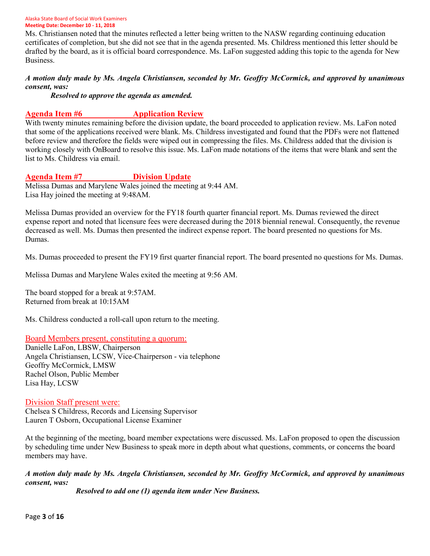Ms. Christiansen noted that the minutes reflected a letter being written to the NASW regarding continuing education certificates of completion, but she did not see that in the agenda presented. Ms. Childress mentioned this letter should be drafted by the board, as it is official board correspondence. Ms. LaFon suggested adding this topic to the agenda for New Business.

#### *A motion duly made by Ms. Angela Christiansen, seconded by Mr. Geoffry McCormick, and approved by unanimous consent, was:*

*Resolved to approve the agenda as amended.* 

## **Agenda Item #6 Application Review**

With twenty minutes remaining before the division update, the board proceeded to application review. Ms. LaFon noted that some of the applications received were blank. Ms. Childress investigated and found that the PDFs were not flattened before review and therefore the fields were wiped out in compressing the files. Ms. Childress added that the division is working closely with OnBoard to resolve this issue. Ms. LaFon made notations of the items that were blank and sent the list to Ms. Childress via email.

#### **Agenda Item #7 Division Update**

Melissa Dumas and Marylene Wales joined the meeting at 9:44 AM. Lisa Hay joined the meeting at 9:48AM.

Melissa Dumas provided an overview for the FY18 fourth quarter financial report. Ms. Dumas reviewed the direct expense report and noted that licensure fees were decreased during the 2018 biennial renewal. Consequently, the revenue decreased as well. Ms. Dumas then presented the indirect expense report. The board presented no questions for Ms. Dumas.

Ms. Dumas proceeded to present the FY19 first quarter financial report. The board presented no questions for Ms. Dumas.

Melissa Dumas and Marylene Wales exited the meeting at 9:56 AM.

The board stopped for a break at 9:57AM. Returned from break at 10:15AM

Ms. Childress conducted a roll-call upon return to the meeting.

#### Board Members present, constituting a quorum:

Danielle LaFon, LBSW, Chairperson Angela Christiansen, LCSW, Vice-Chairperson - via telephone Geoffry McCormick, LMSW Rachel Olson, Public Member Lisa Hay, LCSW

#### Division Staff present were:

Chelsea S Childress, Records and Licensing Supervisor Lauren T Osborn, Occupational License Examiner

At the beginning of the meeting, board member expectations were discussed. Ms. LaFon proposed to open the discussion by scheduling time under New Business to speak more in depth about what questions, comments, or concerns the board members may have.

#### *A motion duly made by Ms. Angela Christiansen, seconded by Mr. Geoffry McCormick, and approved by unanimous consent, was:*

*Resolved to add one (1) agenda item under New Business.*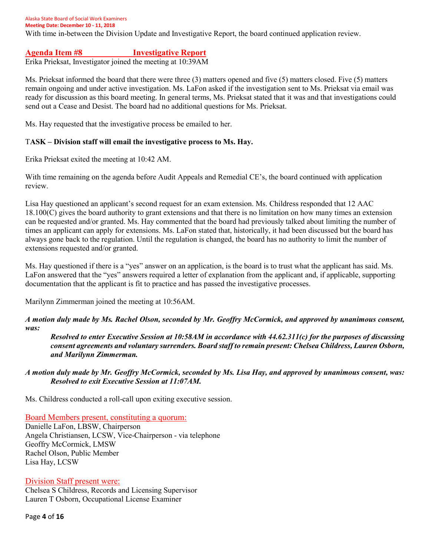Alaska State Board of Social Work Examiners **Meeting Date: December 10 - 11, 2018** With time in-between the Division Update and Investigative Report, the board continued application review.

**Agenda Item #8 Investigative Report**

Erika Prieksat, Investigator joined the meeting at 10:39AM

Ms. Prieksat informed the board that there were three (3) matters opened and five (5) matters closed. Five (5) matters remain ongoing and under active investigation. Ms. LaFon asked if the investigation sent to Ms. Prieksat via email was ready for discussion as this board meeting. In general terms, Ms. Prieksat stated that it was and that investigations could send out a Cease and Desist. The board had no additional questions for Ms. Prieksat.

Ms. Hay requested that the investigative process be emailed to her.

#### T**ASK – Division staff will email the investigative process to Ms. Hay.**

Erika Prieksat exited the meeting at 10:42 AM.

With time remaining on the agenda before Audit Appeals and Remedial CE's, the board continued with application review.

Lisa Hay questioned an applicant's second request for an exam extension. Ms. Childress responded that 12 AAC 18.100(C) gives the board authority to grant extensions and that there is no limitation on how many times an extension can be requested and/or granted. Ms. Hay commented that the board had previously talked about limiting the number of times an applicant can apply for extensions. Ms. LaFon stated that, historically, it had been discussed but the board has always gone back to the regulation. Until the regulation is changed, the board has no authority to limit the number of extensions requested and/or granted.

Ms. Hay questioned if there is a "yes" answer on an application, is the board is to trust what the applicant has said. Ms. LaFon answered that the "yes" answers required a letter of explanation from the applicant and, if applicable, supporting documentation that the applicant is fit to practice and has passed the investigative processes.

Marilynn Zimmerman joined the meeting at 10:56AM.

#### *A motion duly made by Ms. Rachel Olson, seconded by Mr. Geoffry McCormick, and approved by unanimous consent, was:*

*Resolved to enter Executive Session at 10:58AM in accordance with 44.62.311(c) for the purposes of discussing consent agreements and voluntary surrenders. Board staff to remain present: Chelsea Childress, Lauren Osborn, and Marilynn Zimmerman.*

*A motion duly made by Mr. Geoffry McCormick, seconded by Ms. Lisa Hay, and approved by unanimous consent, was: Resolved to exit Executive Session at 11:07AM.*

Ms. Childress conducted a roll-call upon exiting executive session.

Board Members present, constituting a quorum:

Danielle LaFon, LBSW, Chairperson Angela Christiansen, LCSW, Vice-Chairperson - via telephone Geoffry McCormick, LMSW Rachel Olson, Public Member Lisa Hay, LCSW

#### Division Staff present were:

Chelsea S Childress, Records and Licensing Supervisor Lauren T Osborn, Occupational License Examiner

Page **4** of **16**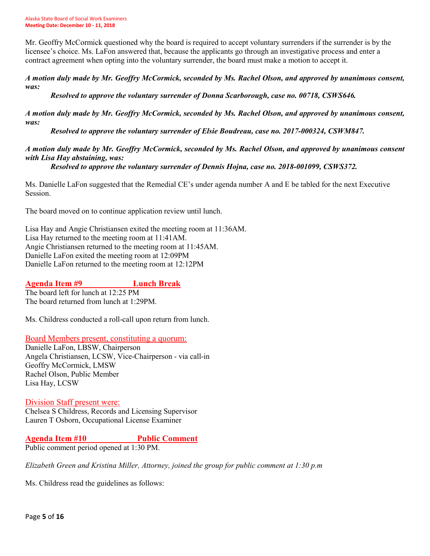Mr. Geoffry McCormick questioned why the board is required to accept voluntary surrenders if the surrender is by the licensee's choice. Ms. LaFon answered that, because the applicants go through an investigative process and enter a contract agreement when opting into the voluntary surrender, the board must make a motion to accept it.

*A motion duly made by Mr. Geoffry McCormick, seconded by Ms. Rachel Olson, and approved by unanimous consent, was:*

*Resolved to approve the voluntary surrender of Donna Scarborough, case no. 00718, CSWS646.*

*A motion duly made by Mr. Geoffry McCormick, seconded by Ms. Rachel Olson, and approved by unanimous consent, was:*

*Resolved to approve the voluntary surrender of Elsie Boudreau, case no. 2017-000324, CSWM847.*

*A motion duly made by Mr. Geoffry McCormick, seconded by Ms. Rachel Olson, and approved by unanimous consent with Lisa Hay abstaining, was:*

*Resolved to approve the voluntary surrender of Dennis Hojna, case no. 2018-001099, CSWS372.*

Ms. Danielle LaFon suggested that the Remedial CE's under agenda number A and E be tabled for the next Executive Session.

The board moved on to continue application review until lunch.

Lisa Hay and Angie Christiansen exited the meeting room at 11:36AM. Lisa Hay returned to the meeting room at 11:41AM. Angie Christiansen returned to the meeting room at 11:45AM. Danielle LaFon exited the meeting room at 12:09PM Danielle LaFon returned to the meeting room at 12:12PM

## **Agenda Item #9 Lunch Break**

The board left for lunch at 12:25 PM The board returned from lunch at 1:29PM.

Ms. Childress conducted a roll-call upon return from lunch.

#### Board Members present, constituting a quorum:

Danielle LaFon, LBSW, Chairperson Angela Christiansen, LCSW, Vice-Chairperson - via call-in Geoffry McCormick, LMSW Rachel Olson, Public Member Lisa Hay, LCSW

#### Division Staff present were: Chelsea S Childress, Records and Licensing Supervisor Lauren T Osborn, Occupational License Examiner

# **Agenda Item #10 Public Comment**

Public comment period opened at 1:30 PM.

*Elizabeth Green and Kristina Miller, Attorney, joined the group for public comment at 1:30 p.m*

Ms. Childress read the guidelines as follows: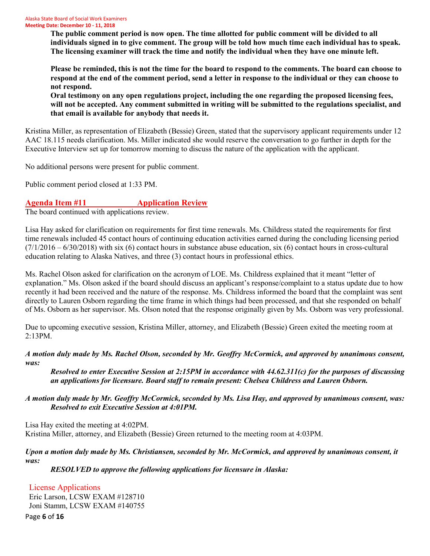**The public comment period is now open. The time allotted for public comment will be divided to all individuals signed in to give comment. The group will be told how much time each individual has to speak. The licensing examiner will track the time and notify the individual when they have one minute left.** 

**Please be reminded, this is not the time for the board to respond to the comments. The board can choose to respond at the end of the comment period, send a letter in response to the individual or they can choose to not respond.** 

**Oral testimony on any open regulations project, including the one regarding the proposed licensing fees, will not be accepted. Any comment submitted in writing will be submitted to the regulations specialist, and that email is available for anybody that needs it.** 

Kristina Miller, as representation of Elizabeth (Bessie) Green, stated that the supervisory applicant requirements under 12 AAC 18.115 needs clarification. Ms. Miller indicated she would reserve the conversation to go further in depth for the Executive Interview set up for tomorrow morning to discuss the nature of the application with the applicant.

No additional persons were present for public comment.

Public comment period closed at 1:33 PM.

# **Agenda Item #11 Application Review**

The board continued with applications review.

Lisa Hay asked for clarification on requirements for first time renewals. Ms. Childress stated the requirements for first time renewals included 45 contact hours of continuing education activities earned during the concluding licensing period  $(7/1/2016 - 6/30/2018)$  with six (6) contact hours in substance abuse education, six (6) contact hours in cross-cultural education relating to Alaska Natives, and three (3) contact hours in professional ethics.

Ms. Rachel Olson asked for clarification on the acronym of LOE. Ms. Childress explained that it meant "letter of explanation." Ms. Olson asked if the board should discuss an applicant's response/complaint to a status update due to how recently it had been received and the nature of the response. Ms. Childress informed the board that the complaint was sent directly to Lauren Osborn regarding the time frame in which things had been processed, and that she responded on behalf of Ms. Osborn as her supervisor. Ms. Olson noted that the response originally given by Ms. Osborn was very professional.

Due to upcoming executive session, Kristina Miller, attorney, and Elizabeth (Bessie) Green exited the meeting room at 2:13PM.

#### *A motion duly made by Ms. Rachel Olson, seconded by Mr. Geoffry McCormick, and approved by unanimous consent, was:*

*Resolved to enter Executive Session at 2:15PM in accordance with 44.62.311(c) for the purposes of discussing an applications for licensure. Board staff to remain present: Chelsea Childress and Lauren Osborn.* 

## *A motion duly made by Mr. Geoffry McCormick, seconded by Ms. Lisa Hay, and approved by unanimous consent, was: Resolved to exit Executive Session at 4:01PM.*

Lisa Hay exited the meeting at 4:02PM. Kristina Miller, attorney, and Elizabeth (Bessie) Green returned to the meeting room at 4:03PM.

## *Upon a motion duly made by Ms. Christiansen, seconded by Mr. McCormick, and approved by unanimous consent, it was:*

*RESOLVED to approve the following applications for licensure in Alaska:*

## License Applications

Eric Larson, LCSW EXAM #128710 Joni Stamm, LCSW EXAM #140755

Page **6** of **16**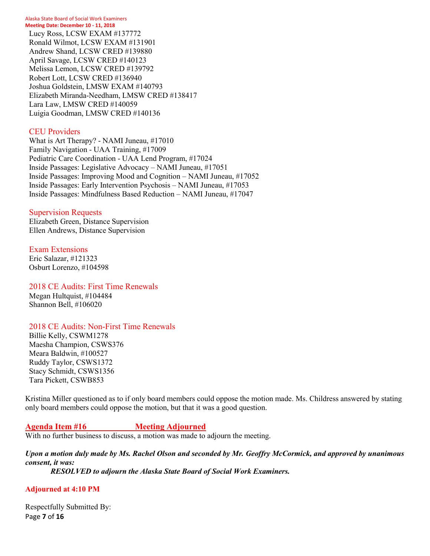Lucy Ross, LCSW EXAM #137772 Ronald Wilmot, LCSW EXAM #131901 Andrew Shand, LCSW CRED #139880 April Savage, LCSW CRED #140123 Melissa Lemon, LCSW CRED #139792 Robert Lott, LCSW CRED #136940 Joshua Goldstein, LMSW EXAM #140793 Elizabeth Miranda-Needham, LMSW CRED #138417 Lara Law, LMSW CRED #140059 Luigia Goodman, LMSW CRED #140136

#### CEU Providers

What is Art Therapy? - NAMI Juneau, #17010 Family Navigation - UAA Training, #17009 Pediatric Care Coordination - UAA Lend Program, #17024 Inside Passages: Legislative Advocacy – NAMI Juneau, #17051 Inside Passages: Improving Mood and Cognition – NAMI Juneau, #17052 Inside Passages: Early Intervention Psychosis – NAMI Juneau, #17053 Inside Passages: Mindfulness Based Reduction – NAMI Juneau, #17047

#### Supervision Requests

Elizabeth Green, Distance Supervision Ellen Andrews, Distance Supervision

Exam Extensions Eric Salazar, #121323 Osburt Lorenzo, #104598

2018 CE Audits: First Time Renewals Megan Hultquist, #104484 Shannon Bell, #106020

## 2018 CE Audits: Non-First Time Renewals

Billie Kelly, CSWM1278 Maesha Champion, CSWS376 Meara Baldwin, #100527 Ruddy Taylor, CSWS1372 Stacy Schmidt, CSWS1356 Tara Pickett, CSWB853

Kristina Miller questioned as to if only board members could oppose the motion made. Ms. Childress answered by stating only board members could oppose the motion, but that it was a good question.

## **Agenda Item #16 Meeting Adjourned**

With no further business to discuss, a motion was made to adjourn the meeting.

# *Upon a motion duly made by Ms. Rachel Olson and seconded by Mr. Geoffry McCormick, and approved by unanimous consent, it was:*

*RESOLVED to adjourn the Alaska State Board of Social Work Examiners.*

#### **Adjourned at 4:10 PM**

Page **7** of **16** Respectfully Submitted By: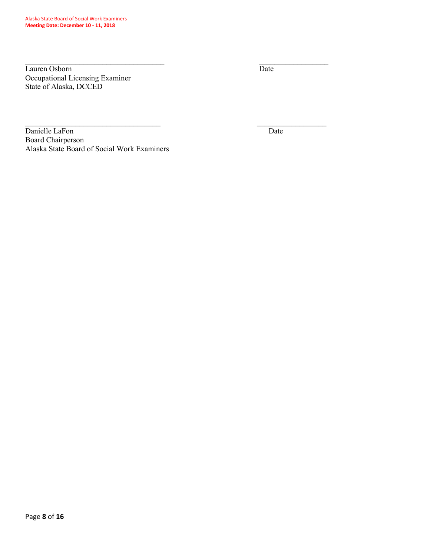Lauren Osborn Date Occupational Licensing Examiner State of Alaska, DCCED

Danielle LaFon Date Board Chairperson Alaska State Board of Social Work Examiners

 $\_$ 

 $\mathcal{L}_\text{max}$  , and the contract of the contract of the contract of the contract of the contract of the contract of the contract of the contract of the contract of the contract of the contract of the contract of the contr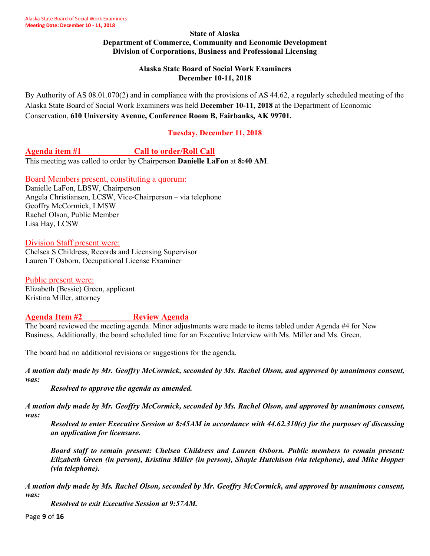#### **State of Alaska Department of Commerce, Community and Economic Development Division of Corporations, Business and Professional Licensing**

#### **Alaska State Board of Social Work Examiners December 10-11, 2018**

By Authority of AS 08.01.070(2) and in compliance with the provisions of AS 44.62, a regularly scheduled meeting of the Alaska State Board of Social Work Examiners was held **December 10-11, 2018** at the Department of Economic Conservation, **610 University Avenue, Conference Room B, Fairbanks, AK 99701.**

## **Tuesday, December 11, 2018**

## **Agenda item #1 Call to order/Roll Call**

This meeting was called to order by Chairperson **Danielle LaFon** at **8:40 AM**.

## Board Members present, constituting a quorum:

Danielle LaFon, LBSW, Chairperson Angela Christiansen, LCSW, Vice-Chairperson – via telephone Geoffry McCormick, LMSW Rachel Olson, Public Member Lisa Hay, LCSW

## Division Staff present were:

Chelsea S Childress, Records and Licensing Supervisor Lauren T Osborn, Occupational License Examiner

Public present were: Elizabeth (Bessie) Green, applicant Kristina Miller, attorney

# **Agenda Item #2 Review Agenda**

The board reviewed the meeting agenda. Minor adjustments were made to items tabled under Agenda #4 for New Business. Additionally, the board scheduled time for an Executive Interview with Ms. Miller and Ms. Green.

The board had no additional revisions or suggestions for the agenda.

*A motion duly made by Mr. Geoffry McCormick, seconded by Ms. Rachel Olson, and approved by unanimous consent, was:*

*Resolved to approve the agenda as amended.*

*A motion duly made by Mr. Geoffry McCormick, seconded by Ms. Rachel Olson, and approved by unanimous consent, was:*

*Resolved to enter Executive Session at 8:45AM in accordance with 44.62.310(c) for the purposes of discussing an application for licensure.* 

*Board staff to remain present: Chelsea Childress and Lauren Osborn. Public members to remain present: Elizabeth Green (in person), Kristina Miller (in person), Shayle Hutchison (via telephone), and Mike Hopper (via telephone).* 

*A motion duly made by Ms. Rachel Olson, seconded by Mr. Geoffry McCormick, and approved by unanimous consent, was:*

*Resolved to exit Executive Session at 9:57AM.*

Page **9** of **16**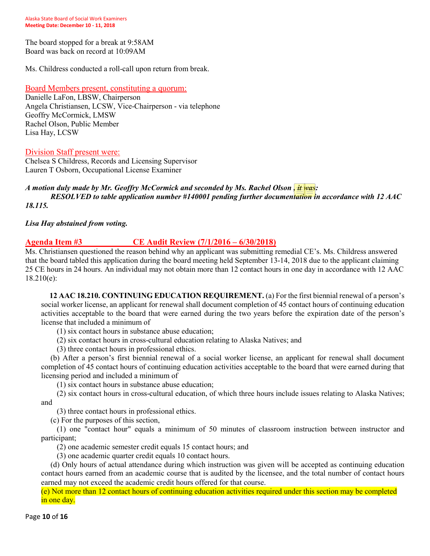The board stopped for a break at 9:58AM Board was back on record at 10:09AM

Ms. Childress conducted a roll-call upon return from break.

Board Members present, constituting a quorum:

Danielle LaFon, LBSW, Chairperson Angela Christiansen, LCSW, Vice-Chairperson - via telephone Geoffry McCormick, LMSW Rachel Olson, Public Member Lisa Hay, LCSW

Division Staff present were:

Chelsea S Childress, Records and Licensing Supervisor Lauren T Osborn, Occupational License Examiner

#### *A motion duly made by Mr. Geoffry McCormick and seconded by Ms. Rachel Olson , it was: RESOLVED to table application number #140001 pending further documentation in accordance with 12 AAC 18.115.*

*Lisa Hay abstained from voting.* 

## **Agenda Item #3 CE Audit Review (7/1/2016 – 6/30/2018)**

Ms. Christiansen questioned the reason behind why an applicant was submitting remedial CE's. Ms. Childress answered that the board tabled this application during the board meeting held September 13-14, 2018 due to the applicant claiming 25 CE hours in 24 hours. An individual may not obtain more than 12 contact hours in one day in accordance with 12 AAC 18.210(e):

**12 AAC 18.210. CONTINUING EDUCATION REQUIREMENT.** (a) For the first biennial renewal of a person's social worker license, an applicant for renewal shall document completion of 45 contact hours of continuing education activities acceptable to the board that were earned during the two years before the expiration date of the person's license that included a minimum of

(1) six contact hours in substance abuse education;

- (2) six contact hours in cross-cultural education relating to Alaska Natives; and
- (3) three contact hours in professional ethics.

(b) After a person's first biennial renewal of a social worker license, an applicant for renewal shall document completion of 45 contact hours of continuing education activities acceptable to the board that were earned during that licensing period and included a minimum of

(1) six contact hours in substance abuse education;

(2) six contact hours in cross-cultural education, of which three hours include issues relating to Alaska Natives; and

(3) three contact hours in professional ethics.

(c) For the purposes of this section,

(1) one "contact hour" equals a minimum of 50 minutes of classroom instruction between instructor and participant;

(2) one academic semester credit equals 15 contact hours; and

(3) one academic quarter credit equals 10 contact hours.

(d) Only hours of actual attendance during which instruction was given will be accepted as continuing education contact hours earned from an academic course that is audited by the licensee, and the total number of contact hours earned may not exceed the academic credit hours offered for that course.

(e) Not more than 12 contact hours of continuing education activities required under this section may be completed in one day.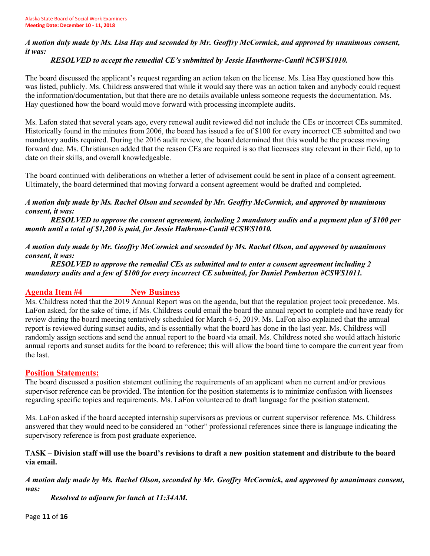## *A motion duly made by Ms. Lisa Hay and seconded by Mr. Geoffry McCormick, and approved by unanimous consent, it was:*

# *RESOLVED to accept the remedial CE's submitted by Jessie Hawthorne-Cantil #CSWS1010.*

The board discussed the applicant's request regarding an action taken on the license. Ms. Lisa Hay questioned how this was listed, publicly. Ms. Childress answered that while it would say there was an action taken and anybody could request the information/documentation, but that there are no details available unless someone requests the documentation. Ms. Hay questioned how the board would move forward with processing incomplete audits.

Ms. Lafon stated that several years ago, every renewal audit reviewed did not include the CEs or incorrect CEs summited. Historically found in the minutes from 2006, the board has issued a fee of \$100 for every incorrect CE submitted and two mandatory audits required. During the 2016 audit review, the board determined that this would be the process moving forward due. Ms. Christiansen added that the reason CEs are required is so that licensees stay relevant in their field, up to date on their skills, and overall knowledgeable.

The board continued with deliberations on whether a letter of advisement could be sent in place of a consent agreement. Ultimately, the board determined that moving forward a consent agreement would be drafted and completed.

## *A motion duly made by Ms. Rachel Olson and seconded by Mr. Geoffry McCormick, and approved by unanimous consent, it was:*

*RESOLVED to approve the consent agreement, including 2 mandatory audits and a payment plan of \$100 per month until a total of \$1,200 is paid, for Jessie Hathrone-Cantil #CSWS1010.* 

*A motion duly made by Mr. Geoffry McCormick and seconded by Ms. Rachel Olson, and approved by unanimous consent, it was:*

## *RESOLVED to approve the remedial CEs as submitted and to enter a consent agreement including 2 mandatory audits and a few of \$100 for every incorrect CE submitted, for Daniel Pemberton #CSWS1011.*

# Agenda Item #4 New Business

Ms. Childress noted that the 2019 Annual Report was on the agenda, but that the regulation project took precedence. Ms. LaFon asked, for the sake of time, if Ms. Childress could email the board the annual report to complete and have ready for review during the board meeting tentatively scheduled for March 4-5, 2019. Ms. LaFon also explained that the annual report is reviewed during sunset audits, and is essentially what the board has done in the last year. Ms. Childress will randomly assign sections and send the annual report to the board via email. Ms. Childress noted she would attach historic annual reports and sunset audits for the board to reference; this will allow the board time to compare the current year from the last.

# **Position Statements:**

The board discussed a position statement outlining the requirements of an applicant when no current and/or previous supervisor reference can be provided. The intention for the position statements is to minimize confusion with licensees regarding specific topics and requirements. Ms. LaFon volunteered to draft language for the position statement.

Ms. LaFon asked if the board accepted internship supervisors as previous or current supervisor reference. Ms. Childress answered that they would need to be considered an "other" professional references since there is language indicating the supervisory reference is from post graduate experience.

## T**ASK – Division staff will use the board's revisions to draft a new position statement and distribute to the board via email.**

# *A motion duly made by Ms. Rachel Olson, seconded by Mr. Geoffry McCormick, and approved by unanimous consent, was:*

*Resolved to adjourn for lunch at 11:34AM.*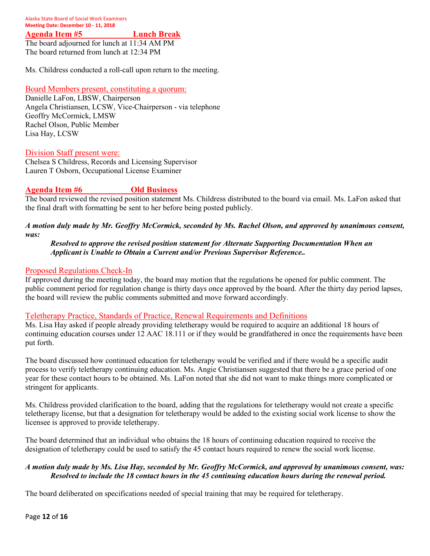**Agenda Item #5 Lunch Break**

The board adjourned for lunch at 11:34 AM PM The board returned from lunch at 12:34 PM

Ms. Childress conducted a roll-call upon return to the meeting.

#### Board Members present, constituting a quorum:

Danielle LaFon, LBSW, Chairperson Angela Christiansen, LCSW, Vice-Chairperson - via telephone Geoffry McCormick, LMSW Rachel Olson, Public Member Lisa Hay, LCSW

#### Division Staff present were:

Chelsea S Childress, Records and Licensing Supervisor Lauren T Osborn, Occupational License Examiner

## **Agenda Item #6 Old Business**

The board reviewed the revised position statement Ms. Childress distributed to the board via email. Ms. LaFon asked that the final draft with formatting be sent to her before being posted publicly.

#### *A motion duly made by Mr. Geoffry McCormick, seconded by Ms. Rachel Olson, and approved by unanimous consent, was:*

#### *Resolved to approve the revised position statement for Alternate Supporting Documentation When an Applicant is Unable to Obtain a Current and/or Previous Supervisor Reference..*

#### Proposed Regulations Check-In

If approved during the meeting today, the board may motion that the regulations be opened for public comment. The public comment period for regulation change is thirty days once approved by the board. After the thirty day period lapses, the board will review the public comments submitted and move forward accordingly.

#### Teletherapy Practice, Standards of Practice, Renewal Requirements and Definitions

Ms. Lisa Hay asked if people already providing teletherapy would be required to acquire an additional 18 hours of continuing education courses under 12 AAC 18.111 or if they would be grandfathered in once the requirements have been put forth.

The board discussed how continued education for teletherapy would be verified and if there would be a specific audit process to verify teletherapy continuing education. Ms. Angie Christiansen suggested that there be a grace period of one year for these contact hours to be obtained. Ms. LaFon noted that she did not want to make things more complicated or stringent for applicants.

Ms. Childress provided clarification to the board, adding that the regulations for teletherapy would not create a specific teletherapy license, but that a designation for teletherapy would be added to the existing social work license to show the licensee is approved to provide teletherapy.

The board determined that an individual who obtains the 18 hours of continuing education required to receive the designation of teletherapy could be used to satisfy the 45 contact hours required to renew the social work license.

#### *A motion duly made by Ms. Lisa Hay, seconded by Mr. Geoffry McCormick, and approved by unanimous consent, was: Resolved to include the 18 contact hours in the 45 continuing education hours during the renewal period.*

The board deliberated on specifications needed of special training that may be required for teletherapy.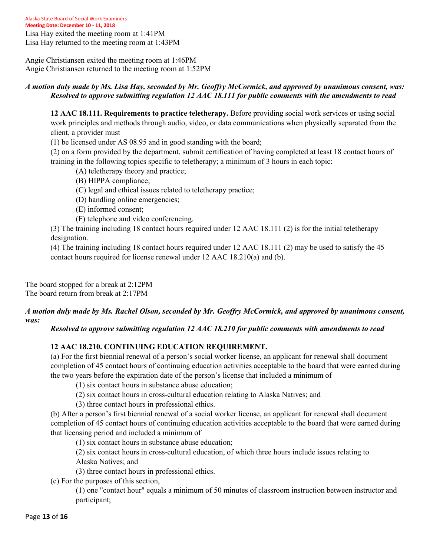Angie Christiansen exited the meeting room at 1:46PM Angie Christiansen returned to the meeting room at 1:52PM

#### *A motion duly made by Ms. Lisa Hay, seconded by Mr. Geoffry McCormick, and approved by unanimous consent, was: Resolved to approve submitting regulation 12 AAC 18.111 for public comments with the amendments to read*

**12 AAC 18.111. Requirements to practice teletherapy.** Before providing social work services or using social work principles and methods through audio, video, or data communications when physically separated from the client, a provider must

(1) be licensed under AS 08.95 and in good standing with the board;

(2) on a form provided by the department, submit certification of having completed at least 18 contact hours of training in the following topics specific to teletherapy; a minimum of 3 hours in each topic:

- (A) teletherapy theory and practice;
- (B) HIPPA compliance;
- (C) legal and ethical issues related to teletherapy practice;
- (D) handling online emergencies;
- (E) informed consent;
- (F) telephone and video conferencing.

(3) The training including 18 contact hours required under 12 AAC 18.111 (2) is for the initial teletherapy designation.

(4) The training including 18 contact hours required under 12 AAC 18.111 (2) may be used to satisfy the 45 contact hours required for license renewal under 12 AAC 18.210(a) and (b).

The board stopped for a break at 2:12PM The board return from break at 2:17PM

#### *A motion duly made by Ms. Rachel Olson, seconded by Mr. Geoffry McCormick, and approved by unanimous consent, was:*

*Resolved to approve submitting regulation 12 AAC 18.210 for public comments with amendments to read* 

## **12 AAC 18.210. CONTINUING EDUCATION REQUIREMENT.**

(a) For the first biennial renewal of a person's social worker license, an applicant for renewal shall document completion of 45 contact hours of continuing education activities acceptable to the board that were earned during the two years before the expiration date of the person's license that included a minimum of

(1) six contact hours in substance abuse education;

(2) six contact hours in cross-cultural education relating to Alaska Natives; and

(3) three contact hours in professional ethics.

(b) After a person's first biennial renewal of a social worker license, an applicant for renewal shall document completion of 45 contact hours of continuing education activities acceptable to the board that were earned during that licensing period and included a minimum of

(1) six contact hours in substance abuse education;

(2) six contact hours in cross-cultural education, of which three hours include issues relating to

Alaska Natives; and

(3) three contact hours in professional ethics.

(c) For the purposes of this section,

(1) one "contact hour" equals a minimum of 50 minutes of classroom instruction between instructor and participant;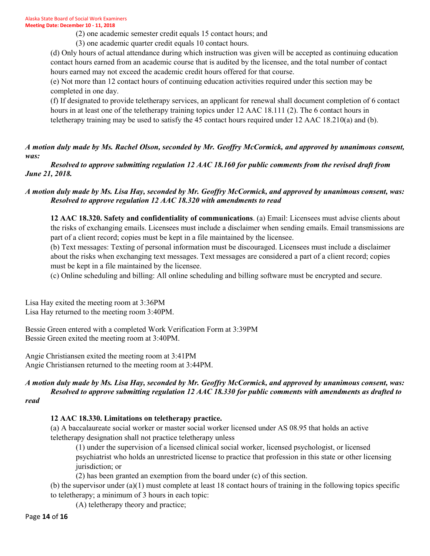(2) one academic semester credit equals 15 contact hours; and

(3) one academic quarter credit equals 10 contact hours.

(d) Only hours of actual attendance during which instruction was given will be accepted as continuing education contact hours earned from an academic course that is audited by the licensee, and the total number of contact hours earned may not exceed the academic credit hours offered for that course.

(e) Not more than 12 contact hours of continuing education activities required under this section may be completed in one day.

(f) If designated to provide teletherapy services, an applicant for renewal shall document completion of 6 contact hours in at least one of the teletherapy training topics under 12 AAC 18.111 (2). The 6 contact hours in teletherapy training may be used to satisfy the 45 contact hours required under 12 AAC 18.210(a) and (b).

*A motion duly made by Ms. Rachel Olson, seconded by Mr. Geoffry McCormick, and approved by unanimous consent, was:*

*Resolved to approve submitting regulation 12 AAC 18.160 for public comments from the revised draft from June 21, 2018.*

#### *A motion duly made by Ms. Lisa Hay, seconded by Mr. Geoffry McCormick, and approved by unanimous consent, was: Resolved to approve regulation 12 AAC 18.320 with amendments to read*

**12 AAC 18.320. Safety and confidentiality of communications**. (a) Email: Licensees must advise clients about the risks of exchanging emails. Licensees must include a disclaimer when sending emails. Email transmissions are part of a client record; copies must be kept in a file maintained by the licensee.

(b) Text messages: Texting of personal information must be discouraged. Licensees must include a disclaimer about the risks when exchanging text messages. Text messages are considered a part of a client record; copies must be kept in a file maintained by the licensee.

(c) Online scheduling and billing: All online scheduling and billing software must be encrypted and secure.

Lisa Hay exited the meeting room at 3:36PM Lisa Hay returned to the meeting room 3:40PM.

Bessie Green entered with a completed Work Verification Form at 3:39PM Bessie Green exited the meeting room at 3:40PM.

Angie Christiansen exited the meeting room at 3:41PM Angie Christiansen returned to the meeting room at 3:44PM.

# *A motion duly made by Ms. Lisa Hay, seconded by Mr. Geoffry McCormick, and approved by unanimous consent, was: Resolved to approve submitting regulation 12 AAC 18.330 for public comments with amendments as drafted to*

*read* 

# **12 AAC 18.330. Limitations on teletherapy practice.**

(a) A baccalaureate social worker or master social worker licensed under AS 08.95 that holds an active teletherapy designation shall not practice teletherapy unless

(1) under the supervision of a licensed clinical social worker, licensed psychologist, or licensed psychiatrist who holds an unrestricted license to practice that profession in this state or other licensing jurisdiction; or

(2) has been granted an exemption from the board under (c) of this section.

(b) the supervisor under (a)(1) must complete at least 18 contact hours of training in the following topics specific to teletherapy; a minimum of 3 hours in each topic:

(A) teletherapy theory and practice;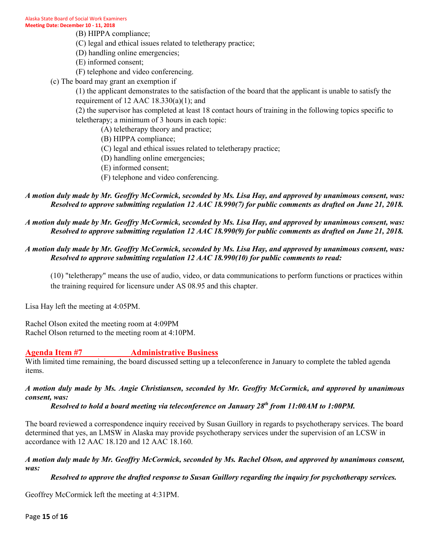- (B) HIPPA compliance;
- (C) legal and ethical issues related to teletherapy practice;
- (D) handling online emergencies;
- (E) informed consent;
- (F) telephone and video conferencing.
- (c) The board may grant an exemption if

(1) the applicant demonstrates to the satisfaction of the board that the applicant is unable to satisfy the requirement of  $12$  AAC  $18.330(a)(1)$ ; and

(2) the supervisor has completed at least 18 contact hours of training in the following topics specific to teletherapy; a minimum of 3 hours in each topic:

- (A) teletherapy theory and practice;
- (B) HIPPA compliance;
- (C) legal and ethical issues related to teletherapy practice;
- (D) handling online emergencies;
- (E) informed consent;
- (F) telephone and video conferencing.

## *A motion duly made by Mr. Geoffry McCormick, seconded by Ms. Lisa Hay, and approved by unanimous consent, was: Resolved to approve submitting regulation 12 AAC 18.990(7) for public comments as drafted on June 21, 2018.*

## *A motion duly made by Mr. Geoffry McCormick, seconded by Ms. Lisa Hay, and approved by unanimous consent, was: Resolved to approve submitting regulation 12 AAC 18.990(9) for public comments as drafted on June 21, 2018.*

#### *A motion duly made by Mr. Geoffry McCormick, seconded by Ms. Lisa Hay, and approved by unanimous consent, was: Resolved to approve submitting regulation 12 AAC 18.990(10) for public comments to read:*

(10) "teletherapy" means the use of audio, video, or data communications to perform functions or practices within the training required for licensure under AS 08.95 and this chapter.

Lisa Hay left the meeting at 4:05PM.

Rachel Olson exited the meeting room at 4:09PM Rachel Olson returned to the meeting room at 4:10PM.

# **Agenda Item #7 Administrative Business**

With limited time remaining, the board discussed setting up a teleconference in January to complete the tabled agenda items.

#### *A motion duly made by Ms. Angie Christiansen, seconded by Mr. Geoffry McCormick, and approved by unanimous consent, was:*

## *Resolved to hold a board meeting via teleconference on January 28th from 11:00AM to 1:00PM.*

The board reviewed a correspondence inquiry received by Susan Guillory in regards to psychotherapy services. The board determined that yes, an LMSW in Alaska may provide psychotherapy services under the supervision of an LCSW in accordance with 12 AAC 18.120 and 12 AAC 18.160.

#### *A motion duly made by Mr. Geoffry McCormick, seconded by Ms. Rachel Olson, and approved by unanimous consent, was:*

#### *Resolved to approve the drafted response to Susan Guillory regarding the inquiry for psychotherapy services.*

Geoffrey McCormick left the meeting at 4:31PM.